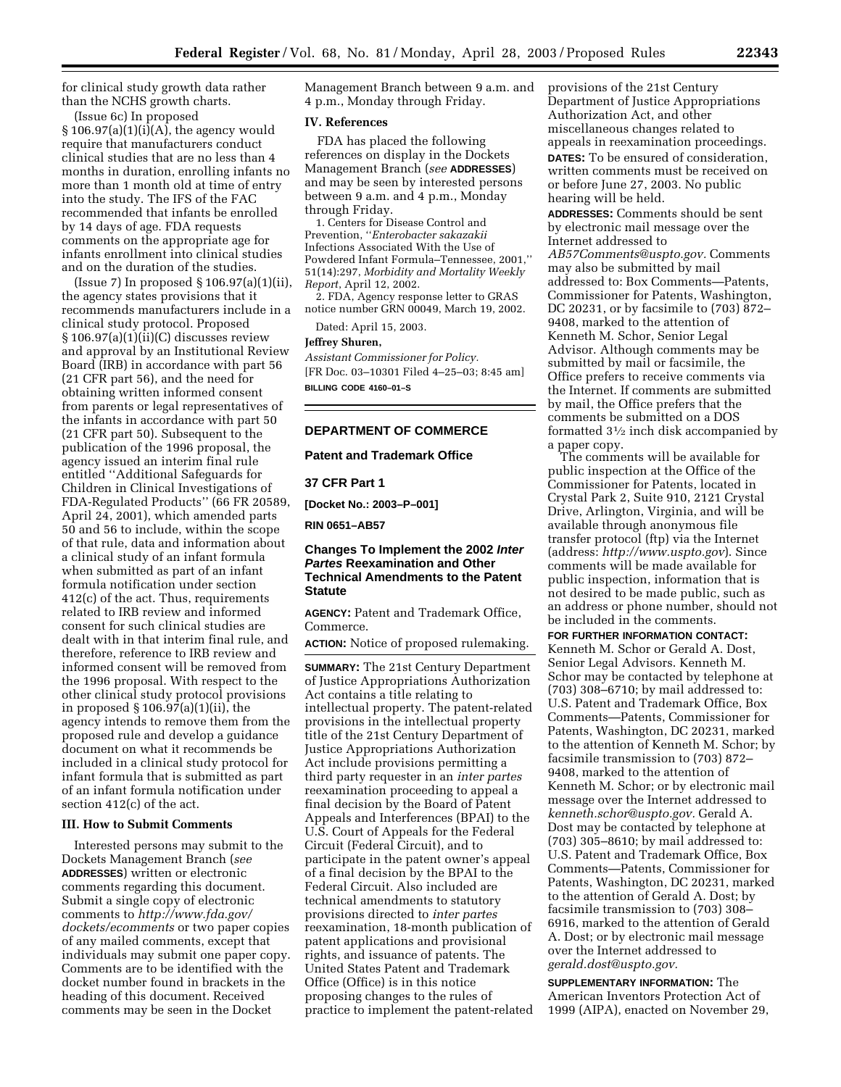for clinical study growth data rather than the NCHS growth charts.

(Issue 6c) In proposed  $\S 106.97(a)(1)(i)(A)$ , the agency would require that manufacturers conduct clinical studies that are no less than 4 months in duration, enrolling infants no more than 1 month old at time of entry into the study. The IFS of the FAC recommended that infants be enrolled by 14 days of age. FDA requests comments on the appropriate age for infants enrollment into clinical studies and on the duration of the studies.

(Issue 7) In proposed § 106.97(a)(1)(ii), the agency states provisions that it recommends manufacturers include in a clinical study protocol. Proposed  $§ 106.97(a)(1)(ii)(C)$  discusses review and approval by an Institutional Review Board (IRB) in accordance with part 56 (21 CFR part 56), and the need for obtaining written informed consent from parents or legal representatives of the infants in accordance with part 50 (21 CFR part 50). Subsequent to the publication of the 1996 proposal, the agency issued an interim final rule entitled ''Additional Safeguards for Children in Clinical Investigations of FDA-Regulated Products'' (66 FR 20589, April 24, 2001), which amended parts 50 and 56 to include, within the scope of that rule, data and information about a clinical study of an infant formula when submitted as part of an infant formula notification under section 412(c) of the act. Thus, requirements related to IRB review and informed consent for such clinical studies are dealt with in that interim final rule, and therefore, reference to IRB review and informed consent will be removed from the 1996 proposal. With respect to the other clinical study protocol provisions in proposed § 106.97(a)(1)(ii), the agency intends to remove them from the proposed rule and develop a guidance document on what it recommends be included in a clinical study protocol for infant formula that is submitted as part of an infant formula notification under section 412(c) of the act.

# **III. How to Submit Comments**

Interested persons may submit to the Dockets Management Branch (*see*  **ADDRESSES**) written or electronic comments regarding this document. Submit a single copy of electronic comments to *[http://www.fda.gov/](http://www.fda.gov/dockets/ecomments)  dockets/ecomments* or two paper copies of any mailed comments, except that individuals may submit one paper copy. Comments are to be identified with the docket number found in brackets in the heading of this document. Received comments may be seen in the Docket

Management Branch between 9 a.m. and 4 p.m., Monday through Friday.

## **IV. References**

FDA has placed the following references on display in the Dockets Management Branch (*see* **ADDRESSES**) and may be seen by interested persons between 9 a.m. and 4 p.m., Monday through Friday.

1. Centers for Disease Control and Prevention, ''*Enterobacter sakazakii*  Infections Associated With the Use of Powdered Infant Formula–Tennessee, 2001,'' 51(14):297, *Morbidity and Mortality Weekly Report*, April 12, 2002.

2. FDA, Agency response letter to GRAS notice number GRN 00049, March 19, 2002.

Dated: April 15, 2003.

#### **Jeffrey Shuren,**

*Assistant Commissioner for Policy.* [FR Doc. 03–10301 Filed 4–25–03; 8:45 am] **BILLING CODE 4160–01–S** 

## **DEPARTMENT OF COMMERCE**

#### **Patent and Trademark Office**

# **37 CFR Part 1**

**[Docket No.: 2003–P–001]** 

**RIN 0651–AB57** 

# **Changes To Implement the 2002 Inter Partes Reexamination and Other Technical Amendments to the Patent Statute**

**AGENCY:** Patent and Trademark Office, Commerce.

**ACTION:** Notice of proposed rulemaking.

**SUMMARY:** The 21st Century Department of Justice Appropriations Authorization Act contains a title relating to intellectual property. The patent-related provisions in the intellectual property title of the 21st Century Department of Justice Appropriations Authorization Act include provisions permitting a third party requester in an *inter partes*  reexamination proceeding to appeal a final decision by the Board of Patent Appeals and Interferences (BPAI) to the U.S. Court of Appeals for the Federal Circuit (Federal Circuit), and to participate in the patent owner's appeal of a final decision by the BPAI to the Federal Circuit. Also included are technical amendments to statutory provisions directed to *inter partes*  reexamination, 18-month publication of patent applications and provisional rights, and issuance of patents. The United States Patent and Trademark Office (Office) is in this notice proposing changes to the rules of practice to implement the patent-related provisions of the 21st Century Department of Justice Appropriations Authorization Act, and other miscellaneous changes related to appeals in reexamination proceedings. **DATES:** To be ensured of consideration, written comments must be received on or before June 27, 2003. No public hearing will be held.

**ADDRESSES:** Comments should be sent by electronic mail message over the Internet addressed to *[AB57Comments@uspto.gov.](mailto:AB57Comments@uspto.gov)* Comments may also be submitted by mail addressed to: Box Comments—Patents, Commissioner for Patents, Washington, DC 20231, or by facsimile to (703) 872– 9408, marked to the attention of Kenneth M. Schor, Senior Legal Advisor. Although comments may be submitted by mail or facsimile, the Office prefers to receive comments via the Internet. If comments are submitted by mail, the Office prefers that the comments be submitted on a DOS formatted 31⁄2 inch disk accompanied by a paper copy.

The comments will be available for public inspection at the Office of the Commissioner for Patents, located in Crystal Park 2, Suite 910, 2121 Crystal Drive, Arlington, Virginia, and will be available through anonymous file transfer protocol (ftp) via the Internet (address: *<http://www.uspto.gov>*). Since comments will be made available for public inspection, information that is not desired to be made public, such as an address or phone number, should not be included in the comments.

**FOR FURTHER INFORMATION CONTACT:**  Kenneth M. Schor or Gerald A. Dost, Senior Legal Advisors. Kenneth M. Schor may be contacted by telephone at (703) 308–6710; by mail addressed to: U.S. Patent and Trademark Office, Box Comments—Patents, Commissioner for Patents, Washington, DC 20231, marked to the attention of Kenneth M. Schor; by facsimile transmission to (703) 872– 9408, marked to the attention of Kenneth M. Schor; or by electronic mail message over the Internet addressed to *[kenneth.schor@uspto.gov.](mailto:kenneth.schor@uspto.gov)* Gerald A. Dost may be contacted by telephone at (703) 305–8610; by mail addressed to: U.S. Patent and Trademark Office, Box Comments—Patents, Commissioner for Patents, Washington, DC 20231, marked to the attention of Gerald A. Dost; by facsimile transmission to (703) 308– 6916, marked to the attention of Gerald A. Dost; or by electronic mail message over the Internet addressed to *[gerald.dost@uspto.gov.](mailto:gerald.dost@uspto.gov)* 

**SUPPLEMENTARY INFORMATION:** The American Inventors Protection Act of 1999 (AIPA), enacted on November 29,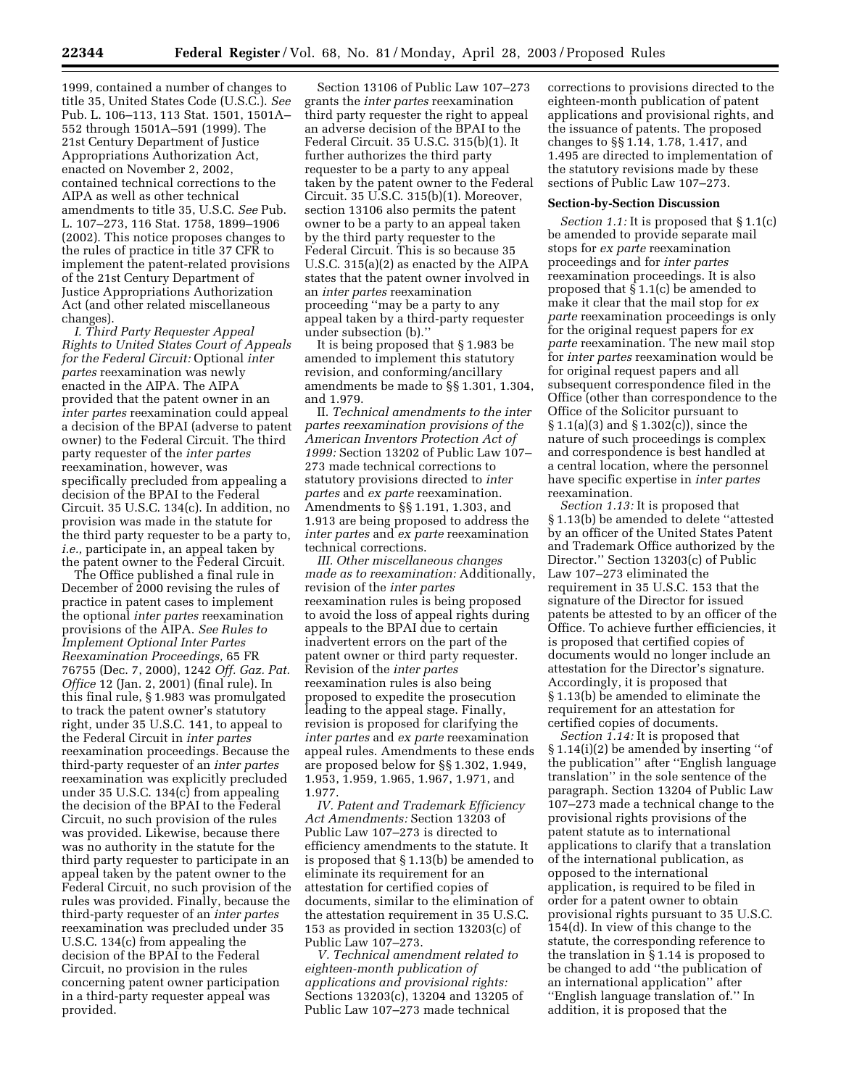1999, contained a number of changes to title 35, United States Code (U.S.C.). *See*  Pub. L. 106–113, 113 Stat. 1501, 1501A– 552 through 1501A–591 (1999). The 21st Century Department of Justice Appropriations Authorization Act, enacted on November 2, 2002, contained technical corrections to the AIPA as well as other technical amendments to title 35, U.S.C. *See* Pub. L. 107–273, 116 Stat. 1758, 1899–1906 (2002). This notice proposes changes to the rules of practice in title 37 CFR to implement the patent-related provisions of the 21st Century Department of Justice Appropriations Authorization Act (and other related miscellaneous changes).

*I. Third Party Requester Appeal Rights to United States Court of Appeals for the Federal Circuit:* Optional *inter partes* reexamination was newly enacted in the AIPA. The AIPA provided that the patent owner in an *inter partes* reexamination could appeal a decision of the BPAI (adverse to patent owner) to the Federal Circuit. The third party requester of the *inter partes*  reexamination, however, was specifically precluded from appealing a decision of the BPAI to the Federal Circuit. 35 U.S.C. 134(c). In addition, no provision was made in the statute for the third party requester to be a party to, *i.e.,* participate in, an appeal taken by the patent owner to the Federal Circuit.

The Office published a final rule in December of 2000 revising the rules of practice in patent cases to implement the optional *inter partes* reexamination provisions of the AIPA. *See Rules to Implement Optional Inter Partes Reexamination Proceedings,* 65 FR 76755 (Dec. 7, 2000), 1242 *Off. Gaz. Pat. Office* 12 (Jan. 2, 2001) (final rule). In this final rule, § 1.983 was promulgated to track the patent owner's statutory right, under 35 U.S.C. 141, to appeal to the Federal Circuit in *inter partes*  reexamination proceedings. Because the third-party requester of an *inter partes*  reexamination was explicitly precluded under 35 U.S.C. 134(c) from appealing the decision of the BPAI to the Federal Circuit, no such provision of the rules was provided. Likewise, because there was no authority in the statute for the third party requester to participate in an appeal taken by the patent owner to the Federal Circuit, no such provision of the rules was provided. Finally, because the third-party requester of an *inter partes*  reexamination was precluded under 35 U.S.C. 134(c) from appealing the decision of the BPAI to the Federal Circuit, no provision in the rules concerning patent owner participation in a third-party requester appeal was provided.

Section 13106 of Public Law 107–273 grants the *inter partes* reexamination third party requester the right to appeal an adverse decision of the BPAI to the Federal Circuit. 35 U.S.C. 315(b)(1). It further authorizes the third party requester to be a party to any appeal taken by the patent owner to the Federal Circuit. 35 U.S.C. 315(b)(1). Moreover, section 13106 also permits the patent owner to be a party to an appeal taken by the third party requester to the Federal Circuit. This is so because 35 U.S.C. 315(a)(2) as enacted by the AIPA states that the patent owner involved in an *inter partes* reexamination proceeding ''may be a party to any appeal taken by a third-party requester under subsection (b).''

It is being proposed that § 1.983 be amended to implement this statutory revision, and conforming/ancillary amendments be made to §§ 1.301, 1.304, and 1.979.

II. *Technical amendments to the inter partes reexamination provisions of the American Inventors Protection Act of 1999:* Section 13202 of Public Law 107– 273 made technical corrections to statutory provisions directed to *inter partes* and *ex parte* reexamination. Amendments to §§ 1.191, 1.303, and 1.913 are being proposed to address the *inter partes* and *ex parte* reexamination technical corrections.

*III. Other miscellaneous changes made as to reexamination:* Additionally, revision of the *inter partes*  reexamination rules is being proposed to avoid the loss of appeal rights during appeals to the BPAI due to certain inadvertent errors on the part of the patent owner or third party requester. Revision of the *inter partes*  reexamination rules is also being proposed to expedite the prosecution leading to the appeal stage. Finally, revision is proposed for clarifying the *inter partes* and *ex parte* reexamination appeal rules. Amendments to these ends are proposed below for §§ 1.302, 1.949, 1.953, 1.959, 1.965, 1.967, 1.971, and 1.977.

*IV. Patent and Trademark Efficiency Act Amendments:* Section 13203 of Public Law 107–273 is directed to efficiency amendments to the statute. It is proposed that § 1.13(b) be amended to eliminate its requirement for an attestation for certified copies of documents, similar to the elimination of the attestation requirement in 35 U.S.C. 153 as provided in section 13203(c) of Public Law 107–273.

*V. Technical amendment related to eighteen-month publication of applications and provisional rights:*  Sections 13203(c), 13204 and 13205 of Public Law 107–273 made technical

corrections to provisions directed to the eighteen-month publication of patent applications and provisional rights, and the issuance of patents. The proposed changes to §§ 1.14, 1.78, 1.417, and 1.495 are directed to implementation of the statutory revisions made by these sections of Public Law 107–273.

### **Section-by-Section Discussion**

*Section 1.1:* It is proposed that § 1.1(c) be amended to provide separate mail stops for *ex parte* reexamination proceedings and for *inter partes*  reexamination proceedings. It is also proposed that § 1.1(c) be amended to make it clear that the mail stop for *ex parte* reexamination proceedings is only for the original request papers for *ex parte* reexamination. The new mail stop for *inter partes* reexamination would be for original request papers and all subsequent correspondence filed in the Office (other than correspondence to the Office of the Solicitor pursuant to § 1.1(a)(3) and § 1.302(c)), since the nature of such proceedings is complex and correspondence is best handled at a central location, where the personnel have specific expertise in *inter partes*  reexamination.

*Section 1.13:* It is proposed that § 1.13(b) be amended to delete ''attested by an officer of the United States Patent and Trademark Office authorized by the Director.'' Section 13203(c) of Public Law 107–273 eliminated the requirement in 35 U.S.C. 153 that the signature of the Director for issued patents be attested to by an officer of the Office. To achieve further efficiencies, it is proposed that certified copies of documents would no longer include an attestation for the Director's signature. Accordingly, it is proposed that § 1.13(b) be amended to eliminate the requirement for an attestation for certified copies of documents.

*Section 1.14:* It is proposed that § 1.14(i)(2) be amended by inserting ''of the publication'' after ''English language translation'' in the sole sentence of the paragraph. Section 13204 of Public Law 107–273 made a technical change to the provisional rights provisions of the patent statute as to international applications to clarify that a translation of the international publication, as opposed to the international application, is required to be filed in order for a patent owner to obtain provisional rights pursuant to 35 U.S.C. 154(d). In view of this change to the statute, the corresponding reference to the translation in § 1.14 is proposed to be changed to add ''the publication of an international application'' after ''English language translation of.'' In addition, it is proposed that the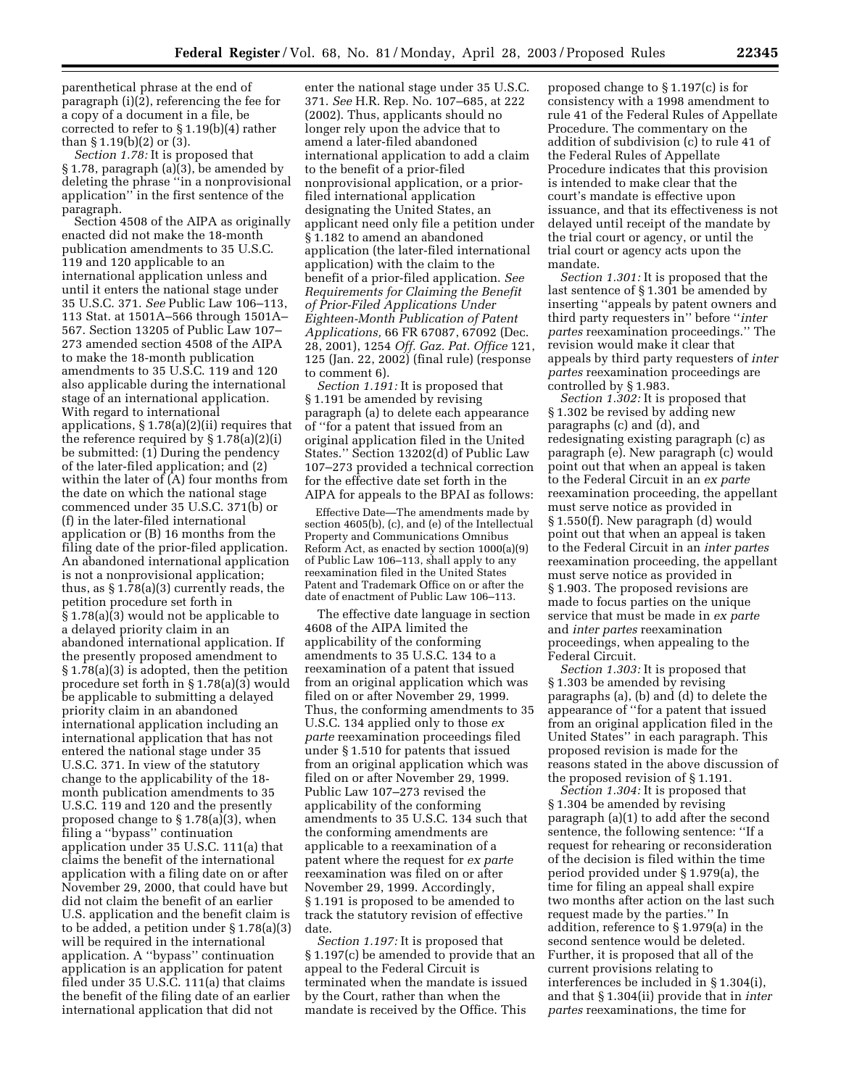parenthetical phrase at the end of paragraph (i)(2), referencing the fee for a copy of a document in a file, be corrected to refer to § 1.19(b)(4) rather than  $\S 1.19(b)(2)$  or  $(3)$ .

*Section 1.78:* It is proposed that § 1.78, paragraph (a)(3), be amended by deleting the phrase ''in a nonprovisional application'' in the first sentence of the paragraph.

Section 4508 of the AIPA as originally enacted did not make the 18-month publication amendments to 35 U.S.C. 119 and 120 applicable to an international application unless and until it enters the national stage under 35 U.S.C. 371. *See* Public Law 106–113, 113 Stat. at 1501A–566 through 1501A– 567. Section 13205 of Public Law 107– 273 amended section 4508 of the AIPA to make the 18-month publication amendments to 35 U.S.C. 119 and 120 also applicable during the international stage of an international application. With regard to international applications, § 1.78(a)(2)(ii) requires that the reference required by  $\S 1.78(a)(2)(i)$ be submitted: (1) During the pendency of the later-filed application; and (2) within the later of (A) four months from the date on which the national stage commenced under 35 U.S.C. 371(b) or (f) in the later-filed international application or (B) 16 months from the filing date of the prior-filed application. An abandoned international application is not a nonprovisional application; thus, as § 1.78(a)(3) currently reads, the petition procedure set forth in § 1.78(a)(3) would not be applicable to a delayed priority claim in an abandoned international application. If the presently proposed amendment to § 1.78(a)(3) is adopted, then the petition procedure set forth in § 1.78(a)(3) would be applicable to submitting a delayed priority claim in an abandoned international application including an international application that has not entered the national stage under 35 U.S.C. 371. In view of the statutory change to the applicability of the 18 month publication amendments to 35 U.S.C. 119 and 120 and the presently proposed change to § 1.78(a)(3), when filing a ''bypass'' continuation application under 35 U.S.C. 111(a) that claims the benefit of the international application with a filing date on or after November 29, 2000, that could have but did not claim the benefit of an earlier U.S. application and the benefit claim is to be added, a petition under § 1.78(a)(3) will be required in the international application. A ''bypass'' continuation application is an application for patent filed under 35 U.S.C. 111(a) that claims the benefit of the filing date of an earlier international application that did not

enter the national stage under 35 U.S.C. 371. *See* H.R. Rep. No. 107–685, at 222 (2002). Thus, applicants should no longer rely upon the advice that to amend a later-filed abandoned international application to add a claim to the benefit of a prior-filed nonprovisional application, or a priorfiled international application designating the United States, an applicant need only file a petition under § 1.182 to amend an abandoned application (the later-filed international application) with the claim to the benefit of a prior-filed application. *See Requirements for Claiming the Benefit of Prior-Filed Applications Under Eighteen-Month Publication of Patent Applications,* 66 FR 67087, 67092 (Dec. 28, 2001), 1254 *Off. Gaz. Pat. Office* 121, 125 (Jan. 22, 2002) (final rule) (response to comment 6).

*Section 1.191:* It is proposed that § 1.191 be amended by revising paragraph (a) to delete each appearance of ''for a patent that issued from an original application filed in the United States.'' Section 13202(d) of Public Law 107–273 provided a technical correction for the effective date set forth in the AIPA for appeals to the BPAI as follows:

Effective Date—The amendments made by section 4605(b), (c), and (e) of the Intellectual Property and Communications Omnibus Reform Act, as enacted by section 1000(a)(9) of Public Law 106–113, shall apply to any reexamination filed in the United States Patent and Trademark Office on or after the date of enactment of Public Law 106–113.

The effective date language in section 4608 of the AIPA limited the applicability of the conforming amendments to 35 U.S.C. 134 to a reexamination of a patent that issued from an original application which was filed on or after November 29, 1999. Thus, the conforming amendments to 35 U.S.C. 134 applied only to those *ex parte* reexamination proceedings filed under § 1.510 for patents that issued from an original application which was filed on or after November 29, 1999. Public Law 107–273 revised the applicability of the conforming amendments to 35 U.S.C. 134 such that the conforming amendments are applicable to a reexamination of a patent where the request for *ex parte*  reexamination was filed on or after November 29, 1999. Accordingly, § 1.191 is proposed to be amended to track the statutory revision of effective date.

*Section 1.197:* It is proposed that § 1.197(c) be amended to provide that an appeal to the Federal Circuit is terminated when the mandate is issued by the Court, rather than when the mandate is received by the Office. This

proposed change to § 1.197(c) is for consistency with a 1998 amendment to rule 41 of the Federal Rules of Appellate Procedure. The commentary on the addition of subdivision (c) to rule 41 of the Federal Rules of Appellate Procedure indicates that this provision is intended to make clear that the court's mandate is effective upon issuance, and that its effectiveness is not delayed until receipt of the mandate by the trial court or agency, or until the trial court or agency acts upon the mandate.

*Section 1.301:* It is proposed that the last sentence of § 1.301 be amended by inserting ''appeals by patent owners and third party requesters in'' before ''*inter partes* reexamination proceedings.'' The revision would make it clear that appeals by third party requesters of *inter partes* reexamination proceedings are controlled by § 1.983.

*Section 1.302:* It is proposed that § 1.302 be revised by adding new paragraphs (c) and (d), and redesignating existing paragraph (c) as paragraph (e). New paragraph (c) would point out that when an appeal is taken to the Federal Circuit in an *ex parte*  reexamination proceeding, the appellant must serve notice as provided in § 1.550(f). New paragraph (d) would point out that when an appeal is taken to the Federal Circuit in an *inter partes*  reexamination proceeding, the appellant must serve notice as provided in § 1.903. The proposed revisions are made to focus parties on the unique service that must be made in *ex parte*  and *inter partes* reexamination proceedings, when appealing to the Federal Circuit.

*Section 1.303:* It is proposed that § 1.303 be amended by revising paragraphs (a), (b) and (d) to delete the appearance of ''for a patent that issued from an original application filed in the United States'' in each paragraph. This proposed revision is made for the reasons stated in the above discussion of the proposed revision of § 1.191.

*Section 1.304:* It is proposed that § 1.304 be amended by revising paragraph (a)(1) to add after the second sentence, the following sentence: ''If a request for rehearing or reconsideration of the decision is filed within the time period provided under § 1.979(a), the time for filing an appeal shall expire two months after action on the last such request made by the parties.'' In addition, reference to § 1.979(a) in the second sentence would be deleted. Further, it is proposed that all of the current provisions relating to interferences be included in § 1.304(i), and that § 1.304(ii) provide that in *inter partes* reexaminations, the time for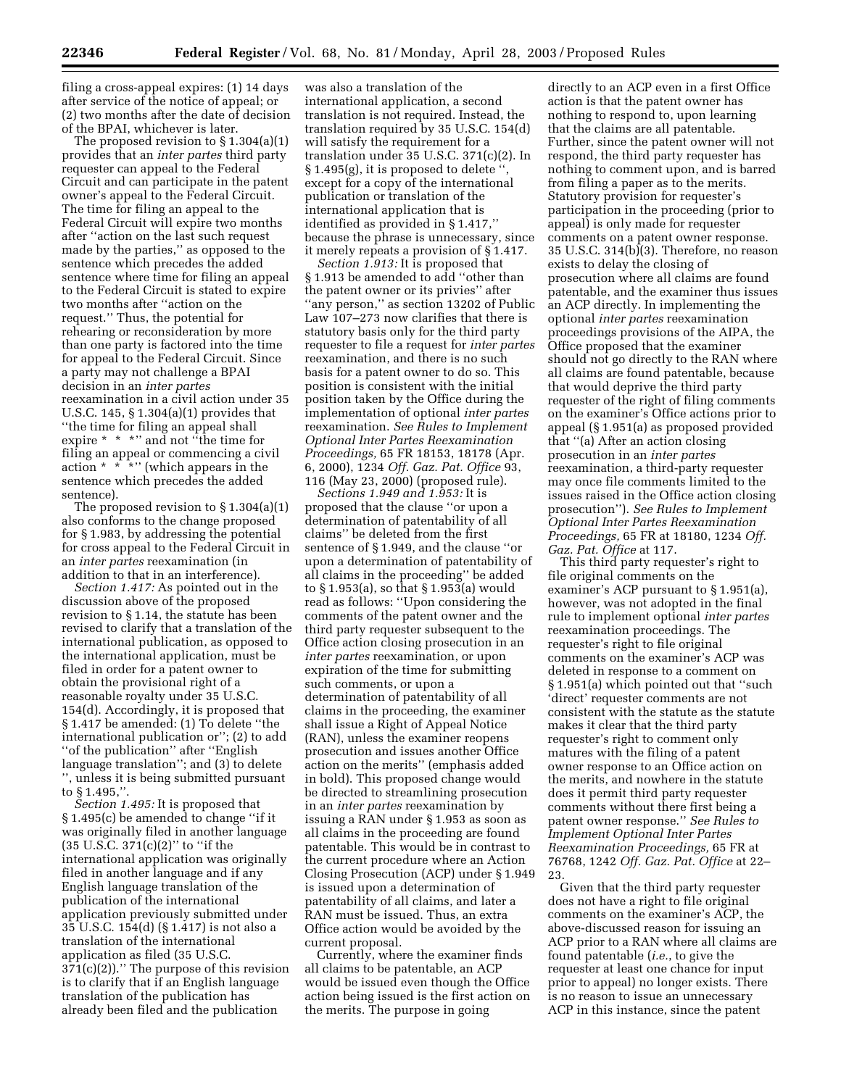filing a cross-appeal expires: (1) 14 days after service of the notice of appeal; or (2) two months after the date of decision of the BPAI, whichever is later.

The proposed revision to § 1.304(a)(1) provides that an *inter partes* third party requester can appeal to the Federal Circuit and can participate in the patent owner's appeal to the Federal Circuit. The time for filing an appeal to the Federal Circuit will expire two months after ''action on the last such request made by the parties,'' as opposed to the sentence which precedes the added sentence where time for filing an appeal to the Federal Circuit is stated to expire two months after ''action on the request.'' Thus, the potential for rehearing or reconsideration by more than one party is factored into the time for appeal to the Federal Circuit. Since a party may not challenge a BPAI decision in an *inter partes*  reexamination in a civil action under 35 U.S.C. 145, § 1.304(a)(1) provides that ''the time for filing an appeal shall expire \* \* \*'' and not ''the time for filing an appeal or commencing a civil action  $* \cdot \cdot \cdot$  (which appears in the sentence which precedes the added sentence).

The proposed revision to § 1.304(a)(1) also conforms to the change proposed for § 1.983, by addressing the potential for cross appeal to the Federal Circuit in an *inter partes* reexamination (in addition to that in an interference).

*Section 1.417:* As pointed out in the discussion above of the proposed revision to § 1.14, the statute has been revised to clarify that a translation of the international publication, as opposed to the international application, must be filed in order for a patent owner to obtain the provisional right of a reasonable royalty under 35 U.S.C. 154(d). Accordingly, it is proposed that § 1.417 be amended: (1) To delete ''the international publication or''; (2) to add ''of the publication'' after ''English language translation''; and (3) to delete '', unless it is being submitted pursuant to § 1.495,''.

*Section 1.495:* It is proposed that § 1.495(c) be amended to change ''if it was originally filed in another language (35 U.S.C. 371(c)(2)'' to ''if the international application was originally filed in another language and if any English language translation of the publication of the international application previously submitted under 35 U.S.C. 154(d) (§ 1.417) is not also a translation of the international application as filed (35 U.S.C.  $371(c)(2)$ ." The purpose of this revision is to clarify that if an English language translation of the publication has already been filed and the publication

was also a translation of the international application, a second translation is not required. Instead, the translation required by 35 U.S.C. 154(d) will satisfy the requirement for a translation under 35 U.S.C. 371(c)(2). In  $\S 1.495(g)$ , it is proposed to delete " except for a copy of the international publication or translation of the international application that is identified as provided in § 1.417,'' because the phrase is unnecessary, since it merely repeats a provision of § 1.417.

*Section 1.913:* It is proposed that § 1.913 be amended to add ''other than the patent owner or its privies'' after ''any person,'' as section 13202 of Public Law 107–273 now clarifies that there is statutory basis only for the third party requester to file a request for *inter partes*  reexamination, and there is no such basis for a patent owner to do so. This position is consistent with the initial position taken by the Office during the implementation of optional *inter partes*  reexamination. *See Rules to Implement Optional Inter Partes Reexamination Proceedings,* 65 FR 18153, 18178 (Apr. 6, 2000), 1234 *Off. Gaz. Pat. Office* 93, 116 (May 23, 2000) (proposed rule). *Sections 1.949 and 1.953:* It is

proposed that the clause ''or upon a determination of patentability of all claims'' be deleted from the first sentence of § 1.949, and the clause ''or upon a determination of patentability of all claims in the proceeding'' be added to § 1.953(a), so that § 1.953(a) would read as follows: ''Upon considering the comments of the patent owner and the third party requester subsequent to the Office action closing prosecution in an *inter partes* reexamination, or upon expiration of the time for submitting such comments, or upon a determination of patentability of all claims in the proceeding, the examiner shall issue a Right of Appeal Notice (RAN), unless the examiner reopens prosecution and issues another Office action on the merits'' (emphasis added in bold). This proposed change would be directed to streamlining prosecution in an *inter partes* reexamination by issuing a RAN under § 1.953 as soon as all claims in the proceeding are found patentable. This would be in contrast to the current procedure where an Action Closing Prosecution (ACP) under § 1.949 is issued upon a determination of patentability of all claims, and later a RAN must be issued. Thus, an extra Office action would be avoided by the current proposal.

Currently, where the examiner finds all claims to be patentable, an ACP would be issued even though the Office action being issued is the first action on the merits. The purpose in going

directly to an ACP even in a first Office action is that the patent owner has nothing to respond to, upon learning that the claims are all patentable. Further, since the patent owner will not respond, the third party requester has nothing to comment upon, and is barred from filing a paper as to the merits. Statutory provision for requester's participation in the proceeding (prior to appeal) is only made for requester comments on a patent owner response. 35 U.S.C. 314(b)(3). Therefore, no reason exists to delay the closing of prosecution where all claims are found patentable, and the examiner thus issues an ACP directly. In implementing the optional *inter partes* reexamination proceedings provisions of the AIPA, the Office proposed that the examiner should not go directly to the RAN where all claims are found patentable, because that would deprive the third party requester of the right of filing comments on the examiner's Office actions prior to appeal (§ 1.951(a) as proposed provided that ''(a) After an action closing prosecution in an *inter partes*  reexamination, a third-party requester may once file comments limited to the issues raised in the Office action closing prosecution''). *See Rules to Implement Optional Inter Partes Reexamination Proceedings,* 65 FR at 18180, 1234 *Off. Gaz. Pat. Office* at 117.

This third party requester's right to file original comments on the examiner's ACP pursuant to § 1.951(a), however, was not adopted in the final rule to implement optional *inter partes*  reexamination proceedings. The requester's right to file original comments on the examiner's ACP was deleted in response to a comment on § 1.951(a) which pointed out that ''such 'direct' requester comments are not consistent with the statute as the statute makes it clear that the third party requester's right to comment only matures with the filing of a patent owner response to an Office action on the merits, and nowhere in the statute does it permit third party requester comments without there first being a patent owner response.'' *See Rules to Implement Optional Inter Partes Reexamination Proceedings,* 65 FR at 76768, 1242 *Off. Gaz. Pat. Office* at 22– 23.

Given that the third party requester does not have a right to file original comments on the examiner's ACP, the above-discussed reason for issuing an ACP prior to a RAN where all claims are found patentable (*i.e.*, to give the requester at least one chance for input prior to appeal) no longer exists. There is no reason to issue an unnecessary ACP in this instance, since the patent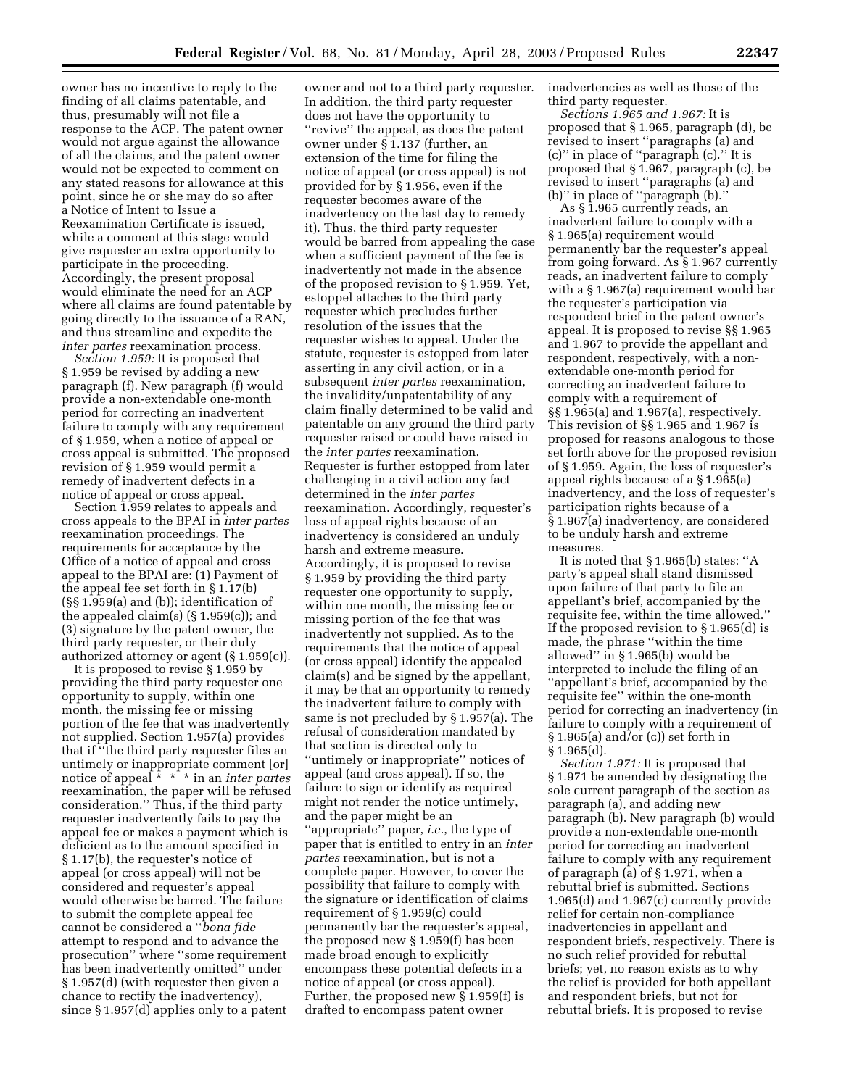owner has no incentive to reply to the finding of all claims patentable, and thus, presumably will not file a response to the ACP. The patent owner would not argue against the allowance of all the claims, and the patent owner would not be expected to comment on any stated reasons for allowance at this point, since he or she may do so after a Notice of Intent to Issue a Reexamination Certificate is issued, while a comment at this stage would give requester an extra opportunity to participate in the proceeding. Accordingly, the present proposal would eliminate the need for an ACP where all claims are found patentable by going directly to the issuance of a RAN, and thus streamline and expedite the *inter partes* reexamination process.

*Section 1.959:* It is proposed that § 1.959 be revised by adding a new paragraph (f). New paragraph (f) would provide a non-extendable one-month period for correcting an inadvertent failure to comply with any requirement of § 1.959, when a notice of appeal or cross appeal is submitted. The proposed revision of § 1.959 would permit a remedy of inadvertent defects in a notice of appeal or cross appeal.

Section 1.959 relates to appeals and cross appeals to the BPAI in *inter partes*  reexamination proceedings. The requirements for acceptance by the Office of a notice of appeal and cross appeal to the BPAI are: (1) Payment of the appeal fee set forth in § 1.17(b) (§§ 1.959(a) and (b)); identification of the appealed claim(s) (§ 1.959(c)); and (3) signature by the patent owner, the third party requester, or their duly authorized attorney or agent (§ 1.959(c)).

It is proposed to revise § 1.959 by providing the third party requester one opportunity to supply, within one month, the missing fee or missing portion of the fee that was inadvertently not supplied. Section 1.957(a) provides that if ''the third party requester files an untimely or inappropriate comment [or] notice of appeal \* \* \* in an *inter partes*  reexamination, the paper will be refused consideration.'' Thus, if the third party requester inadvertently fails to pay the appeal fee or makes a payment which is deficient as to the amount specified in § 1.17(b), the requester's notice of appeal (or cross appeal) will not be considered and requester's appeal would otherwise be barred. The failure to submit the complete appeal fee cannot be considered a ''*bona fide*  attempt to respond and to advance the prosecution'' where ''some requirement has been inadvertently omitted'' under § 1.957(d) (with requester then given a chance to rectify the inadvertency), since § 1.957(d) applies only to a patent

owner and not to a third party requester. In addition, the third party requester does not have the opportunity to ''revive'' the appeal, as does the patent owner under § 1.137 (further, an extension of the time for filing the notice of appeal (or cross appeal) is not provided for by § 1.956, even if the requester becomes aware of the inadvertency on the last day to remedy it). Thus, the third party requester would be barred from appealing the case when a sufficient payment of the fee is inadvertently not made in the absence of the proposed revision to § 1.959. Yet, estoppel attaches to the third party requester which precludes further resolution of the issues that the requester wishes to appeal. Under the statute, requester is estopped from later asserting in any civil action, or in a subsequent *inter partes* reexamination, the invalidity/unpatentability of any claim finally determined to be valid and patentable on any ground the third party requester raised or could have raised in the *inter partes* reexamination. Requester is further estopped from later challenging in a civil action any fact determined in the *inter partes*  reexamination. Accordingly, requester's loss of appeal rights because of an inadvertency is considered an unduly harsh and extreme measure. Accordingly, it is proposed to revise § 1.959 by providing the third party requester one opportunity to supply, within one month, the missing fee or missing portion of the fee that was inadvertently not supplied. As to the requirements that the notice of appeal (or cross appeal) identify the appealed claim(s) and be signed by the appellant, it may be that an opportunity to remedy the inadvertent failure to comply with same is not precluded by § 1.957(a). The refusal of consideration mandated by that section is directed only to

''untimely or inappropriate'' notices of appeal (and cross appeal). If so, the failure to sign or identify as required might not render the notice untimely, and the paper might be an ''appropriate'' paper, *i.e.*, the type of paper that is entitled to entry in an *inter partes* reexamination, but is not a complete paper. However, to cover the possibility that failure to comply with the signature or identification of claims requirement of § 1.959(c) could permanently bar the requester's appeal, the proposed new § 1.959(f) has been made broad enough to explicitly encompass these potential defects in a notice of appeal (or cross appeal). Further, the proposed new § 1.959(f) is drafted to encompass patent owner

inadvertencies as well as those of the third party requester.

*Sections 1.965 and 1.967:* It is proposed that § 1.965, paragraph (d), be revised to insert ''paragraphs (a) and (c)'' in place of ''paragraph (c).'' It is proposed that § 1.967, paragraph (c), be revised to insert ''paragraphs (a) and (b)'' in place of ''paragraph (b).''

As § 1.965 currently reads, an inadvertent failure to comply with a § 1.965(a) requirement would permanently bar the requester's appeal from going forward. As § 1.967 currently reads, an inadvertent failure to comply with a  $\S 1.967$ (a) requirement would bar the requester's participation via respondent brief in the patent owner's appeal. It is proposed to revise §§ 1.965 and 1.967 to provide the appellant and respondent, respectively, with a nonextendable one-month period for correcting an inadvertent failure to comply with a requirement of §§ 1.965(a) and 1.967(a), respectively. This revision of §§ 1.965 and 1.967 is proposed for reasons analogous to those set forth above for the proposed revision of § 1.959. Again, the loss of requester's appeal rights because of a § 1.965(a) inadvertency, and the loss of requester's participation rights because of a § 1.967(a) inadvertency, are considered to be unduly harsh and extreme measures.

It is noted that § 1.965(b) states: ''A party's appeal shall stand dismissed upon failure of that party to file an appellant's brief, accompanied by the requisite fee, within the time allowed.'' If the proposed revision to § 1.965(d) is made, the phrase ''within the time allowed'' in § 1.965(b) would be interpreted to include the filing of an ''appellant's brief, accompanied by the requisite fee'' within the one-month period for correcting an inadvertency (in failure to comply with a requirement of § 1.965(a) and/or (c)) set forth in  $§ 1.965(d).$ 

*Section 1.971:* It is proposed that § 1.971 be amended by designating the sole current paragraph of the section as paragraph (a), and adding new paragraph (b). New paragraph (b) would provide a non-extendable one-month period for correcting an inadvertent failure to comply with any requirement of paragraph (a) of § 1.971, when a rebuttal brief is submitted. Sections 1.965(d) and 1.967(c) currently provide relief for certain non-compliance inadvertencies in appellant and respondent briefs, respectively. There is no such relief provided for rebuttal briefs; yet, no reason exists as to why the relief is provided for both appellant and respondent briefs, but not for rebuttal briefs. It is proposed to revise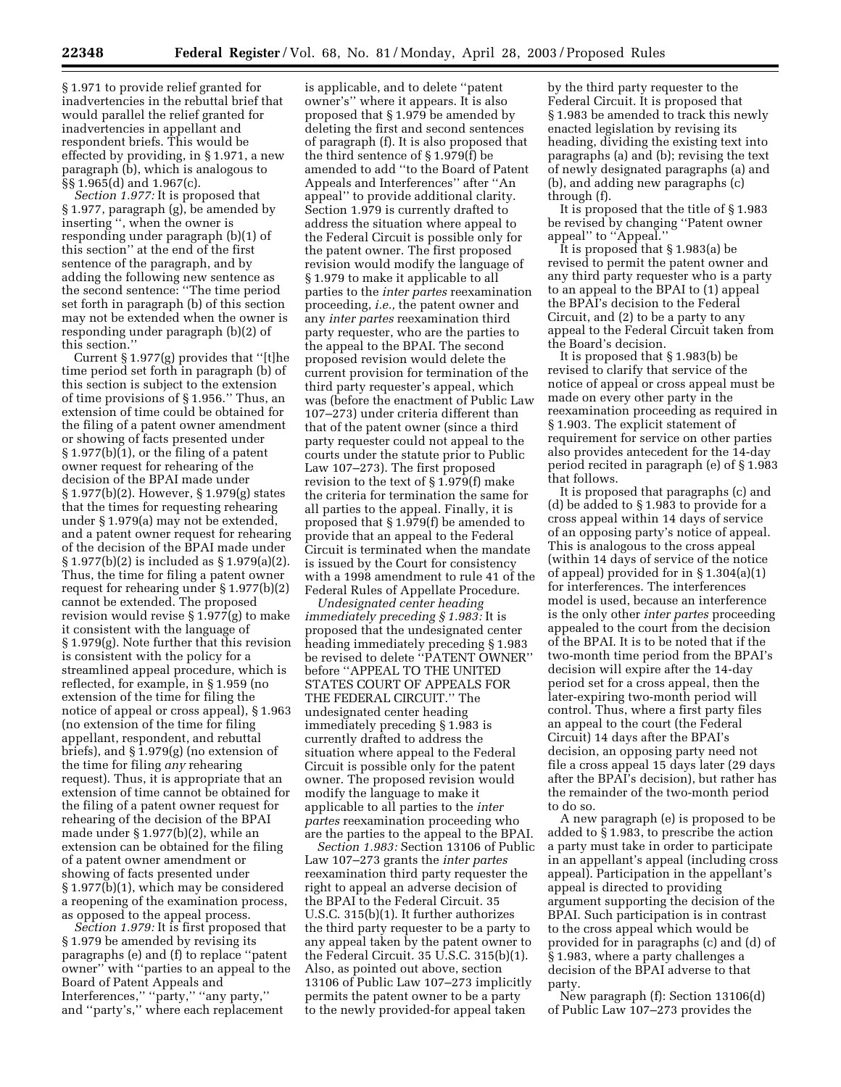§ 1.971 to provide relief granted for inadvertencies in the rebuttal brief that would parallel the relief granted for inadvertencies in appellant and respondent briefs. This would be effected by providing, in § 1.971, a new paragraph (b), which is analogous to §§ 1.965(d) and 1.967(c).

*Section 1.977:* It is proposed that § 1.977, paragraph (g), be amended by inserting '', when the owner is responding under paragraph (b)(1) of this section'' at the end of the first sentence of the paragraph, and by adding the following new sentence as the second sentence: ''The time period set forth in paragraph (b) of this section may not be extended when the owner is responding under paragraph (b)(2) of this section.''

Current § 1.977(g) provides that ''[t]he time period set forth in paragraph (b) of this section is subject to the extension of time provisions of § 1.956.'' Thus, an extension of time could be obtained for the filing of a patent owner amendment or showing of facts presented under § 1.977(b)(1), or the filing of a patent owner request for rehearing of the decision of the BPAI made under § 1.977(b)(2). However, § 1.979(g) states that the times for requesting rehearing under § 1.979(a) may not be extended, and a patent owner request for rehearing of the decision of the BPAI made under § 1.977(b)(2) is included as § 1.979(a)(2). Thus, the time for filing a patent owner request for rehearing under § 1.977(b)(2) cannot be extended. The proposed revision would revise § 1.977(g) to make it consistent with the language of § 1.979(g). Note further that this revision is consistent with the policy for a streamlined appeal procedure, which is reflected, for example, in § 1.959 (no extension of the time for filing the notice of appeal or cross appeal), § 1.963 (no extension of the time for filing appellant, respondent, and rebuttal briefs), and § 1.979(g) (no extension of the time for filing *any* rehearing request). Thus, it is appropriate that an extension of time cannot be obtained for the filing of a patent owner request for rehearing of the decision of the BPAI made under § 1.977(b)(2), while an extension can be obtained for the filing of a patent owner amendment or showing of facts presented under § 1.977(b)(1), which may be considered a reopening of the examination process, as opposed to the appeal process.

*Section 1.979:* It is first proposed that § 1.979 be amended by revising its paragraphs (e) and (f) to replace ''patent owner'' with ''parties to an appeal to the Board of Patent Appeals and Interferences,'' ''party,'' ''any party,'' and ''party's,'' where each replacement

is applicable, and to delete ''patent owner's'' where it appears. It is also proposed that § 1.979 be amended by deleting the first and second sentences of paragraph (f). It is also proposed that the third sentence of § 1.979(f) be amended to add ''to the Board of Patent Appeals and Interferences'' after ''An appeal'' to provide additional clarity. Section 1.979 is currently drafted to address the situation where appeal to the Federal Circuit is possible only for the patent owner. The first proposed revision would modify the language of § 1.979 to make it applicable to all parties to the *inter partes* reexamination proceeding, *i.e.,* the patent owner and any *inter partes* reexamination third party requester, who are the parties to the appeal to the BPAI. The second proposed revision would delete the current provision for termination of the third party requester's appeal, which was (before the enactment of Public Law 107–273) under criteria different than that of the patent owner (since a third party requester could not appeal to the courts under the statute prior to Public Law 107–273). The first proposed revision to the text of § 1.979(f) make the criteria for termination the same for all parties to the appeal. Finally, it is proposed that § 1.979(f) be amended to provide that an appeal to the Federal Circuit is terminated when the mandate is issued by the Court for consistency with a 1998 amendment to rule 41 of the Federal Rules of Appellate Procedure.

*Undesignated center heading immediately preceding § 1.983:* It is proposed that the undesignated center heading immediately preceding § 1.983 be revised to delete "PATENT OWNER" before ''APPEAL TO THE UNITED STATES COURT OF APPEALS FOR THE FEDERAL CIRCUIT.'' The undesignated center heading immediately preceding § 1.983 is currently drafted to address the situation where appeal to the Federal Circuit is possible only for the patent owner. The proposed revision would modify the language to make it applicable to all parties to the *inter partes* reexamination proceeding who are the parties to the appeal to the BPAI.

*Section 1.983:* Section 13106 of Public Law 107–273 grants the *inter partes*  reexamination third party requester the right to appeal an adverse decision of the BPAI to the Federal Circuit. 35 U.S.C. 315(b)(1). It further authorizes the third party requester to be a party to any appeal taken by the patent owner to the Federal Circuit. 35 U.S.C. 315(b)(1). Also, as pointed out above, section 13106 of Public Law 107–273 implicitly permits the patent owner to be a party to the newly provided-for appeal taken

by the third party requester to the Federal Circuit. It is proposed that § 1.983 be amended to track this newly enacted legislation by revising its heading, dividing the existing text into paragraphs (a) and (b); revising the text of newly designated paragraphs (a) and (b), and adding new paragraphs (c) through (f).

It is proposed that the title of § 1.983 be revised by changing ''Patent owner appeal'' to ''Appeal.''

It is proposed that § 1.983(a) be revised to permit the patent owner and any third party requester who is a party to an appeal to the BPAI to (1) appeal the BPAI's decision to the Federal Circuit, and (2) to be a party to any appeal to the Federal Circuit taken from the Board's decision.

It is proposed that § 1.983(b) be revised to clarify that service of the notice of appeal or cross appeal must be made on every other party in the reexamination proceeding as required in § 1.903. The explicit statement of requirement for service on other parties also provides antecedent for the 14-day period recited in paragraph (e) of § 1.983 that follows.

It is proposed that paragraphs (c) and (d) be added to § 1.983 to provide for a cross appeal within 14 days of service of an opposing party's notice of appeal. This is analogous to the cross appeal (within 14 days of service of the notice of appeal) provided for in § 1.304(a)(1) for interferences. The interferences model is used, because an interference is the only other *inter partes* proceeding appealed to the court from the decision of the BPAI. It is to be noted that if the two-month time period from the BPAI's decision will expire after the 14-day period set for a cross appeal, then the later-expiring two-month period will control. Thus, where a first party files an appeal to the court (the Federal Circuit) 14 days after the BPAI's decision, an opposing party need not file a cross appeal 15 days later (29 days after the BPAI's decision), but rather has the remainder of the two-month period to do so.

A new paragraph (e) is proposed to be added to § 1.983, to prescribe the action a party must take in order to participate in an appellant's appeal (including cross appeal). Participation in the appellant's appeal is directed to providing argument supporting the decision of the BPAI. Such participation is in contrast to the cross appeal which would be provided for in paragraphs (c) and (d) of § 1.983, where a party challenges a decision of the BPAI adverse to that party.

New paragraph (f): Section 13106(d) of Public Law 107–273 provides the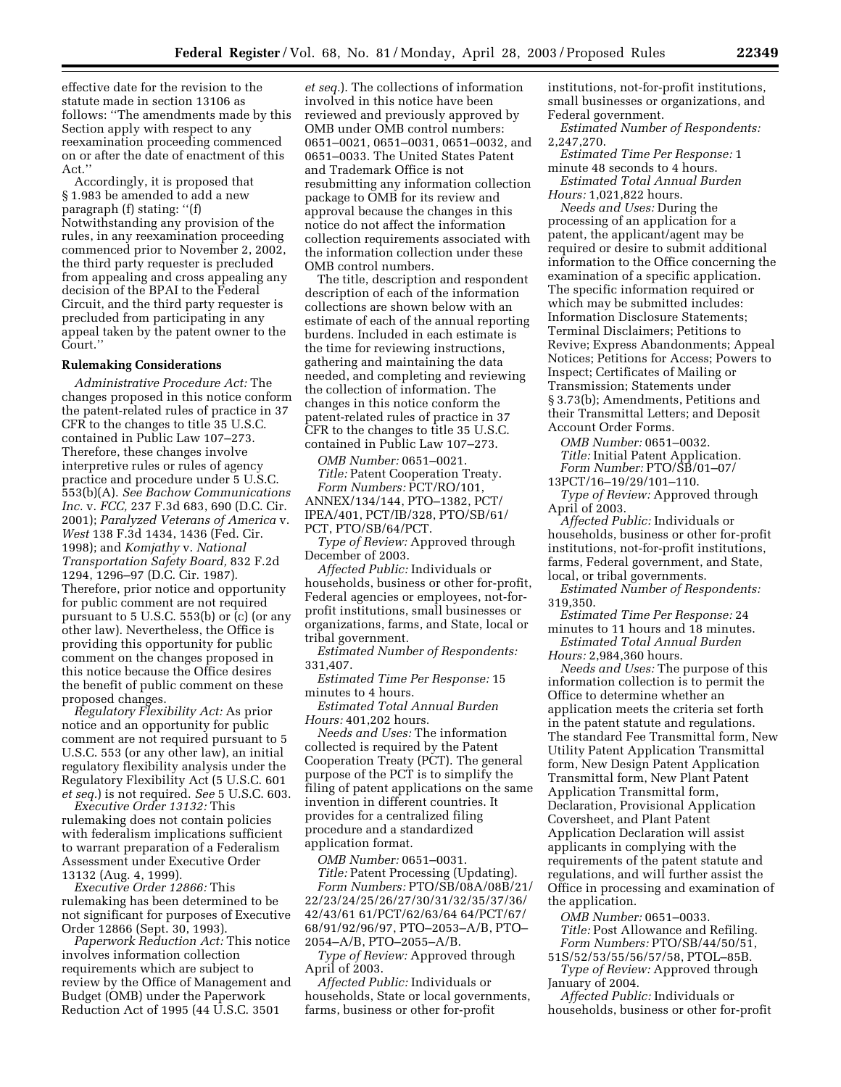effective date for the revision to the statute made in section 13106 as follows: ''The amendments made by this Section apply with respect to any reexamination proceeding commenced on or after the date of enactment of this Act.''

Accordingly, it is proposed that § 1.983 be amended to add a new paragraph (f) stating: ''(f) Notwithstanding any provision of the rules, in any reexamination proceeding commenced prior to November 2, 2002, the third party requester is precluded from appealing and cross appealing any decision of the BPAI to the Federal Circuit, and the third party requester is precluded from participating in any appeal taken by the patent owner to the Court.''

#### **Rulemaking Considerations**

*Administrative Procedure Act:* The changes proposed in this notice conform the patent-related rules of practice in 37 CFR to the changes to title 35 U.S.C. contained in Public Law 107–273. Therefore, these changes involve interpretive rules or rules of agency practice and procedure under 5 U.S.C. 553(b)(A). *See Bachow Communications Inc.* v. *FCC,* 237 F.3d 683, 690 (D.C. Cir. 2001); *Paralyzed Veterans of America* v. *West* 138 F.3d 1434, 1436 (Fed. Cir. 1998); and *Komjathy* v. *National Transportation Safety Board,* 832 F.2d 1294, 1296–97 (D.C. Cir. 1987). Therefore, prior notice and opportunity for public comment are not required pursuant to 5 U.S.C. 553(b) or  $(c)$  (or any other law). Nevertheless, the Office is providing this opportunity for public comment on the changes proposed in this notice because the Office desires the benefit of public comment on these proposed changes.

*Regulatory Flexibility Act:* As prior notice and an opportunity for public comment are not required pursuant to 5 U.S.C. 553 (or any other law), an initial regulatory flexibility analysis under the Regulatory Flexibility Act (5 U.S.C. 601 *et seq.*) is not required. *See* 5 U.S.C. 603.

*Executive Order 13132:* This rulemaking does not contain policies with federalism implications sufficient to warrant preparation of a Federalism Assessment under Executive Order 13132 (Aug. 4, 1999).

*Executive Order 12866:* This rulemaking has been determined to be not significant for purposes of Executive Order 12866 (Sept. 30, 1993).

*Paperwork Reduction Act:* This notice involves information collection requirements which are subject to review by the Office of Management and Budget (OMB) under the Paperwork Reduction Act of 1995 (44 U.S.C. 3501

*et seq.*). The collections of information involved in this notice have been reviewed and previously approved by OMB under OMB control numbers: 0651–0021, 0651–0031, 0651–0032, and 0651–0033. The United States Patent and Trademark Office is not resubmitting any information collection package to OMB for its review and approval because the changes in this notice do not affect the information collection requirements associated with the information collection under these OMB control numbers.

The title, description and respondent description of each of the information collections are shown below with an estimate of each of the annual reporting burdens. Included in each estimate is the time for reviewing instructions, gathering and maintaining the data needed, and completing and reviewing the collection of information. The changes in this notice conform the patent-related rules of practice in 37 CFR to the changes to title 35 U.S.C. contained in Public Law 107–273.

*OMB Number:* 0651–0021. *Title:* Patent Cooperation Treaty.

*Form Numbers:* PCT/RO/101, ANNEX/134/144, PTO–1382, PCT/ IPEA/401, PCT/IB/328, PTO/SB/61/ PCT, PTO/SB/64/PCT.

*Type of Review:* Approved through December of 2003.

*Affected Public:* Individuals or households, business or other for-profit, Federal agencies or employees, not-forprofit institutions, small businesses or organizations, farms, and State, local or tribal government.

*Estimated Number of Respondents:*  331,407.

*Estimated Time Per Response:* 15 minutes to 4 hours.

*Estimated Total Annual Burden Hours:* 401,202 hours.

*Needs and Uses:* The information collected is required by the Patent Cooperation Treaty (PCT). The general purpose of the PCT is to simplify the filing of patent applications on the same invention in different countries. It provides for a centralized filing procedure and a standardized application format.

*OMB Number:* 0651–0031.

*Title:* Patent Processing (Updating). *Form Numbers:* PTO/SB/08A/08B/21/ 22/23/24/25/26/27/30/31/32/35/37/36/ 42/43/61 61/PCT/62/63/64 64/PCT/67/ 68/91/92/96/97, PTO–2053–A/B, PTO– 2054–A/B, PTO–2055–A/B.

*Type of Review:* Approved through April of 2003.

*Affected Public:* Individuals or households, State or local governments, farms, business or other for-profit

institutions, not-for-profit institutions, small businesses or organizations, and Federal government.

*Estimated Number of Respondents:*  2,247,270.

*Estimated Time Per Response:* 1 minute 48 seconds to 4 hours. *Estimated Total Annual Burden* 

*Hours:* 1,021,822 hours.

*Needs and Uses:* During the processing of an application for a patent, the applicant/agent may be required or desire to submit additional information to the Office concerning the examination of a specific application. The specific information required or which may be submitted includes: Information Disclosure Statements; Terminal Disclaimers; Petitions to Revive; Express Abandonments; Appeal Notices; Petitions for Access; Powers to Inspect; Certificates of Mailing or Transmission; Statements under § 3.73(b); Amendments, Petitions and their Transmittal Letters; and Deposit Account Order Forms.

*OMB Number:* 0651–0032. *Title:* Initial Patent Application. *Form Number:* PTO/SB/01–07/

13PCT/16–19/29/101–110. *Type of Review:* Approved through

April of 2003. *Affected Public:* Individuals or

households, business or other for-profit institutions, not-for-profit institutions, farms, Federal government, and State, local, or tribal governments.

*Estimated Number of Respondents:*  319,350.

*Estimated Time Per Response:* 24 minutes to 11 hours and 18 minutes. *Estimated Total Annual Burden* 

*Hours:* 2,984,360 hours.

*Needs and Uses:* The purpose of this information collection is to permit the Office to determine whether an application meets the criteria set forth in the patent statute and regulations. The standard Fee Transmittal form, New Utility Patent Application Transmittal form, New Design Patent Application Transmittal form, New Plant Patent Application Transmittal form, Declaration, Provisional Application Coversheet, and Plant Patent Application Declaration will assist applicants in complying with the requirements of the patent statute and regulations, and will further assist the Office in processing and examination of the application.

*OMB Number:* 0651–0033. *Title:* Post Allowance and Refiling. *Form Numbers:* PTO/SB/44/50/51,

51S/52/53/55/56/57/58, PTOL–85B. *Type of Review:* Approved through January of 2004.

*Affected Public:* Individuals or households, business or other for-profit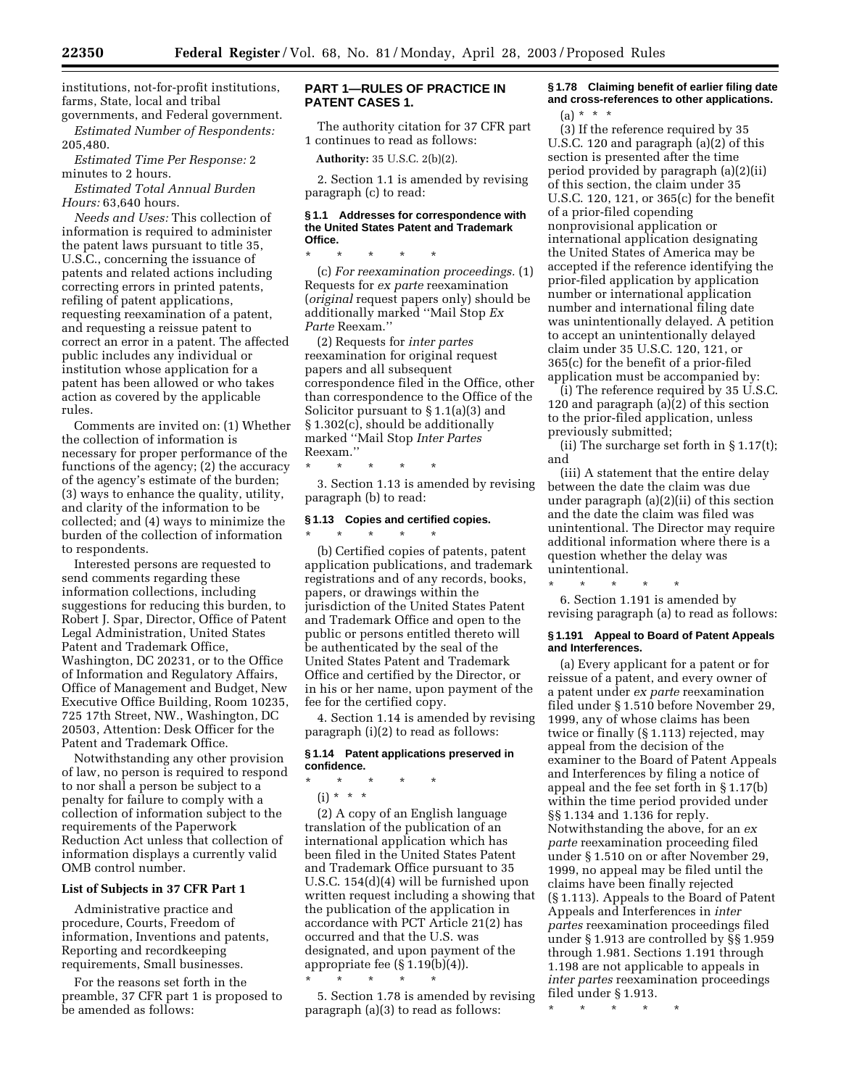institutions, not-for-profit institutions, farms, State, local and tribal governments, and Federal government.

*Estimated Number of Respondents:*  205,480.

*Estimated Time Per Response:* 2 minutes to 2 hours.

*Estimated Total Annual Burden Hours:* 63,640 hours.

*Needs and Uses:* This collection of information is required to administer the patent laws pursuant to title 35, U.S.C., concerning the issuance of patents and related actions including correcting errors in printed patents, refiling of patent applications, requesting reexamination of a patent, and requesting a reissue patent to correct an error in a patent. The affected public includes any individual or institution whose application for a patent has been allowed or who takes action as covered by the applicable rules.

Comments are invited on: (1) Whether the collection of information is necessary for proper performance of the functions of the agency; (2) the accuracy of the agency's estimate of the burden; (3) ways to enhance the quality, utility, and clarity of the information to be collected; and (4) ways to minimize the burden of the collection of information to respondents.

Interested persons are requested to send comments regarding these information collections, including suggestions for reducing this burden, to Robert J. Spar, Director, Office of Patent Legal Administration, United States Patent and Trademark Office, Washington, DC 20231, or to the Office of Information and Regulatory Affairs, Office of Management and Budget, New Executive Office Building, Room 10235, 725 17th Street, NW., Washington, DC 20503, Attention: Desk Officer for the Patent and Trademark Office.

Notwithstanding any other provision of law, no person is required to respond to nor shall a person be subject to a penalty for failure to comply with a collection of information subject to the requirements of the Paperwork Reduction Act unless that collection of information displays a currently valid OMB control number.

### **List of Subjects in 37 CFR Part 1**

Administrative practice and procedure, Courts, Freedom of information, Inventions and patents, Reporting and recordkeeping requirements, Small businesses.

For the reasons set forth in the preamble, 37 CFR part 1 is proposed to be amended as follows:

# **PART 1—RULES OF PRACTICE IN PATENT CASES 1.**

The authority citation for 37 CFR part 1 continues to read as follows:

**Authority:** 35 U.S.C. 2(b)(2).

2. Section 1.1 is amended by revising paragraph (c) to read:

#### **§ 1.1 Addresses for correspondence with the United States Patent and Trademark Office.**

\* \* \* \* \* (c) *For reexamination proceedings.* (1)

Requests for *ex parte* reexamination (*original* request papers only) should be additionally marked ''Mail Stop *Ex Parte* Reexam.''

(2) Requests for *inter partes*  reexamination for original request papers and all subsequent correspondence filed in the Office, other than correspondence to the Office of the Solicitor pursuant to § 1.1(a)(3) and § 1.302(c), should be additionally marked ''Mail Stop *Inter Partes*  Reexam.''

\* \* \* \* \*

3. Section 1.13 is amended by revising paragraph (b) to read:

# **§ 1.13 Copies and certified copies.**

\* \* \* \* \* (b) Certified copies of patents, patent application publications, and trademark registrations and of any records, books, papers, or drawings within the jurisdiction of the United States Patent and Trademark Office and open to the public or persons entitled thereto will be authenticated by the seal of the United States Patent and Trademark Office and certified by the Director, or in his or her name, upon payment of the fee for the certified copy.

4. Section 1.14 is amended by revising paragraph (i)(2) to read as follows:

### **§ 1.14 Patent applications preserved in confidence.**

\* \* \* \* \*  $(i) * * * *$ 

\* \* \* \* \*

(2) A copy of an English language translation of the publication of an international application which has been filed in the United States Patent and Trademark Office pursuant to 35 U.S.C. 154(d)(4) will be furnished upon written request including a showing that the publication of the application in accordance with PCT Article 21(2) has occurred and that the U.S. was designated, and upon payment of the appropriate fee (§ 1.19(b)(4)).

5. Section 1.78 is amended by revising paragraph (a)(3) to read as follows:

# **§ 1.78 Claiming benefit of earlier filing date and cross-references to other applications.**   $(a) * * * *$

(3) If the reference required by 35 U.S.C. 120 and paragraph (a)(2) of this section is presented after the time period provided by paragraph (a)(2)(ii) of this section, the claim under 35 U.S.C. 120, 121, or 365(c) for the benefit of a prior-filed copending nonprovisional application or international application designating the United States of America may be accepted if the reference identifying the prior-filed application by application number or international application number and international filing date was unintentionally delayed. A petition to accept an unintentionally delayed claim under 35 U.S.C. 120, 121, or 365(c) for the benefit of a prior-filed application must be accompanied by:

(i) The reference required by 35 U.S.C. 120 and paragraph (a)(2) of this section to the prior-filed application, unless previously submitted;

(ii) The surcharge set forth in § 1.17(t); and

(iii) A statement that the entire delay between the date the claim was due under paragraph (a)(2)(ii) of this section and the date the claim was filed was unintentional. The Director may require additional information where there is a question whether the delay was unintentional.

\* \* \* \* \* 6. Section 1.191 is amended by revising paragraph (a) to read as follows:

### **§ 1.191 Appeal to Board of Patent Appeals and Interferences.**

(a) Every applicant for a patent or for reissue of a patent, and every owner of a patent under *ex parte* reexamination filed under § 1.510 before November 29, 1999, any of whose claims has been twice or finally (§ 1.113) rejected, may appeal from the decision of the examiner to the Board of Patent Appeals and Interferences by filing a notice of appeal and the fee set forth in § 1.17(b) within the time period provided under §§ 1.134 and 1.136 for reply. Notwithstanding the above, for an *ex parte* reexamination proceeding filed under § 1.510 on or after November 29, 1999, no appeal may be filed until the claims have been finally rejected (§ 1.113). Appeals to the Board of Patent Appeals and Interferences in *inter partes* reexamination proceedings filed under § 1.913 are controlled by §§ 1.959 through 1.981. Sections 1.191 through 1.198 are not applicable to appeals in *inter partes* reexamination proceedings filed under § 1.913.

\* \* \* \* \*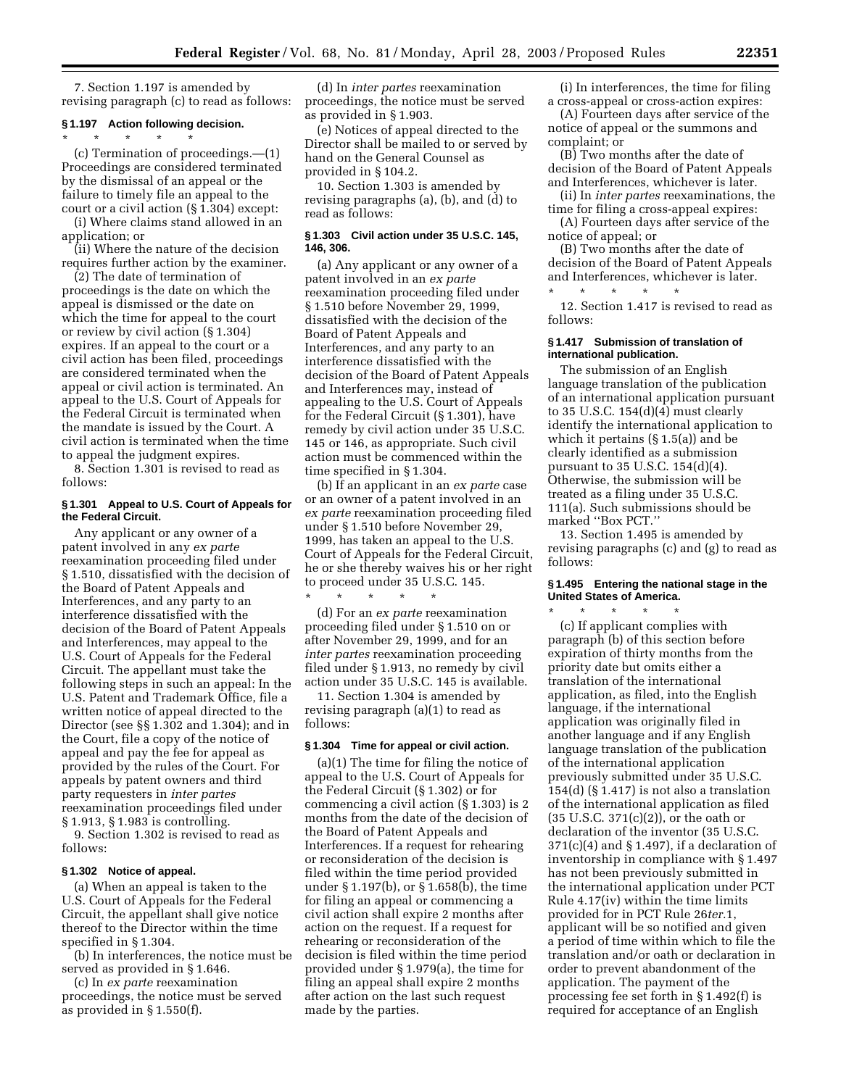7. Section 1.197 is amended by revising paragraph (c) to read as follows:

# **§ 1.197 Action following decision.**

\* \* \* \* \* (c) Termination of proceedings.—(1) Proceedings are considered terminated by the dismissal of an appeal or the failure to timely file an appeal to the court or a civil action (§ 1.304) except:

(i) Where claims stand allowed in an application; or

(ii) Where the nature of the decision requires further action by the examiner.

(2) The date of termination of proceedings is the date on which the appeal is dismissed or the date on which the time for appeal to the court or review by civil action (§ 1.304) expires. If an appeal to the court or a civil action has been filed, proceedings are considered terminated when the appeal or civil action is terminated. An appeal to the U.S. Court of Appeals for the Federal Circuit is terminated when the mandate is issued by the Court. A civil action is terminated when the time to appeal the judgment expires.

8. Section 1.301 is revised to read as follows:

### **§ 1.301 Appeal to U.S. Court of Appeals for the Federal Circuit.**

Any applicant or any owner of a patent involved in any *ex parte*  reexamination proceeding filed under § 1.510, dissatisfied with the decision of the Board of Patent Appeals and Interferences, and any party to an interference dissatisfied with the decision of the Board of Patent Appeals and Interferences, may appeal to the U.S. Court of Appeals for the Federal Circuit. The appellant must take the following steps in such an appeal: In the U.S. Patent and Trademark Office, file a written notice of appeal directed to the Director (see §§ 1.302 and 1.304); and in the Court, file a copy of the notice of appeal and pay the fee for appeal as provided by the rules of the Court. For appeals by patent owners and third party requesters in *inter partes*  reexamination proceedings filed under § 1.913, § 1.983 is controlling.

9. Section 1.302 is revised to read as follows:

#### **§ 1.302 Notice of appeal.**

(a) When an appeal is taken to the U.S. Court of Appeals for the Federal Circuit, the appellant shall give notice thereof to the Director within the time specified in § 1.304.

(b) In interferences, the notice must be served as provided in § 1.646.

(c) In *ex parte* reexamination proceedings, the notice must be served as provided in § 1.550(f).

(d) In *inter partes* reexamination proceedings, the notice must be served as provided in § 1.903.

(e) Notices of appeal directed to the Director shall be mailed to or served by hand on the General Counsel as provided in § 104.2.

10. Section 1.303 is amended by revising paragraphs (a), (b), and (d) to read as follows:

## **§ 1.303 Civil action under 35 U.S.C. 145, 146, 306.**

(a) Any applicant or any owner of a patent involved in an *ex parte*  reexamination proceeding filed under § 1.510 before November 29, 1999, dissatisfied with the decision of the Board of Patent Appeals and Interferences, and any party to an interference dissatisfied with the decision of the Board of Patent Appeals and Interferences may, instead of appealing to the U.S. Court of Appeals for the Federal Circuit (§ 1.301), have remedy by civil action under 35 U.S.C. 145 or 146, as appropriate. Such civil action must be commenced within the time specified in § 1.304.

(b) If an applicant in an *ex parte* case or an owner of a patent involved in an *ex parte* reexamination proceeding filed under § 1.510 before November 29, 1999, has taken an appeal to the U.S. Court of Appeals for the Federal Circuit, he or she thereby waives his or her right to proceed under 35 U.S.C. 145.

\* \* \* \* \* (d) For an *ex parte* reexamination proceeding filed under § 1.510 on or after November 29, 1999, and for an *inter partes* reexamination proceeding filed under § 1.913, no remedy by civil action under 35 U.S.C. 145 is available.

11. Section 1.304 is amended by revising paragraph (a)(1) to read as follows:

## **§ 1.304 Time for appeal or civil action.**

(a)(1) The time for filing the notice of appeal to the U.S. Court of Appeals for the Federal Circuit (§ 1.302) or for commencing a civil action (§ 1.303) is 2 months from the date of the decision of the Board of Patent Appeals and Interferences. If a request for rehearing or reconsideration of the decision is filed within the time period provided under § 1.197(b), or § 1.658(b), the time for filing an appeal or commencing a civil action shall expire 2 months after action on the request. If a request for rehearing or reconsideration of the decision is filed within the time period provided under § 1.979(a), the time for filing an appeal shall expire 2 months after action on the last such request made by the parties.

(i) In interferences, the time for filing a cross-appeal or cross-action expires:

(A) Fourteen days after service of the notice of appeal or the summons and complaint; or

(B) Two months after the date of decision of the Board of Patent Appeals and Interferences, whichever is later.

(ii) In *inter partes* reexaminations, the time for filing a cross-appeal expires:

(A) Fourteen days after service of the notice of appeal; or

(B) Two months after the date of decision of the Board of Patent Appeals and Interferences, whichever is later.

\* \* \* \* \* 12. Section 1.417 is revised to read as follows:

#### **§ 1.417 Submission of translation of international publication.**

The submission of an English language translation of the publication of an international application pursuant to 35 U.S.C. 154(d)(4) must clearly identify the international application to which it pertains (§ 1.5(a)) and be clearly identified as a submission pursuant to 35 U.S.C. 154(d)(4). Otherwise, the submission will be treated as a filing under 35 U.S.C. 111(a). Such submissions should be marked ''Box PCT.''

13. Section 1.495 is amended by revising paragraphs (c) and (g) to read as follows:

# **§ 1.495 Entering the national stage in the United States of America.**

\* \* \* \* \* (c) If applicant complies with paragraph (b) of this section before expiration of thirty months from the priority date but omits either a translation of the international application, as filed, into the English language, if the international application was originally filed in another language and if any English language translation of the publication of the international application previously submitted under 35 U.S.C. 154(d) (§ 1.417) is not also a translation of the international application as filed (35 U.S.C. 371(c)(2)), or the oath or declaration of the inventor (35 U.S.C.  $371(c)(4)$  and § 1.497), if a declaration of inventorship in compliance with § 1.497 has not been previously submitted in the international application under PCT Rule 4.17(iv) within the time limits provided for in PCT Rule 26*ter.*1, applicant will be so notified and given a period of time within which to file the translation and/or oath or declaration in order to prevent abandonment of the application. The payment of the processing fee set forth in § 1.492(f) is required for acceptance of an English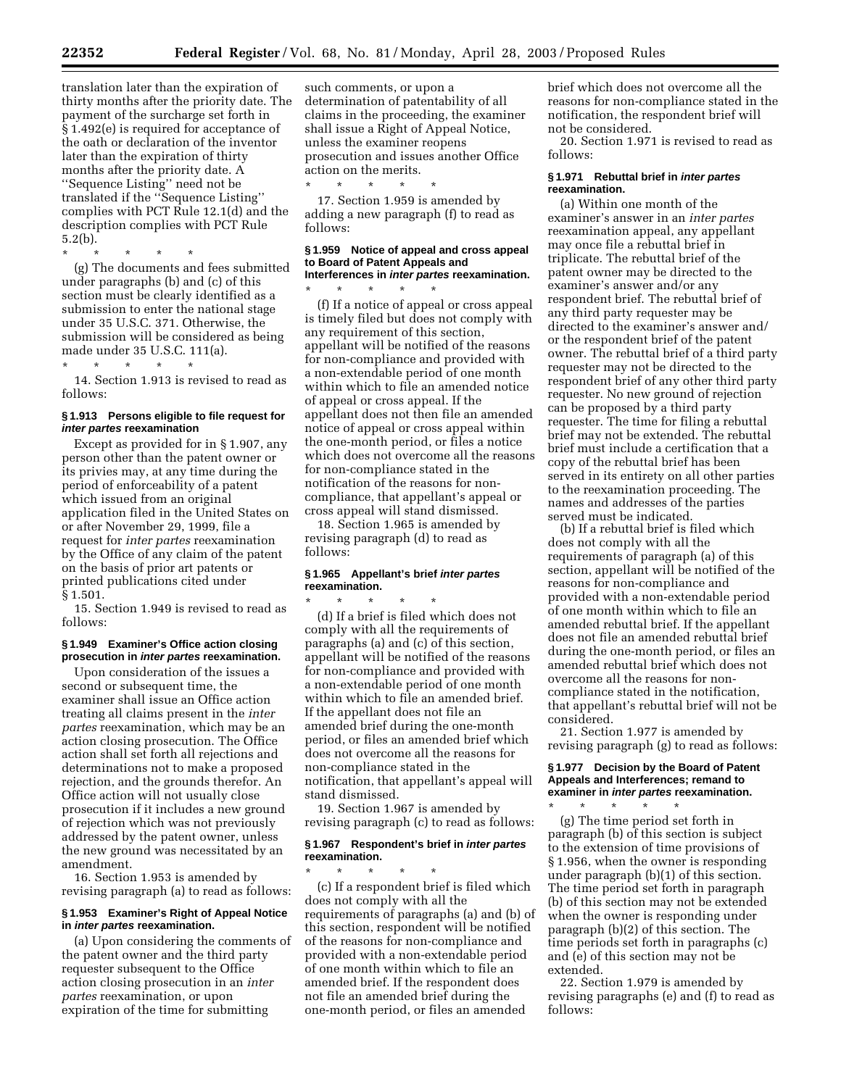translation later than the expiration of thirty months after the priority date. The payment of the surcharge set forth in § 1.492(e) is required for acceptance of the oath or declaration of the inventor later than the expiration of thirty months after the priority date. A ''Sequence Listing'' need not be translated if the ''Sequence Listing'' complies with PCT Rule 12.1(d) and the description complies with PCT Rule 5.2(b).

\* \* \* \* \* (g) The documents and fees submitted under paragraphs (b) and (c) of this section must be clearly identified as a submission to enter the national stage under 35 U.S.C. 371. Otherwise, the submission will be considered as being

made under 35 U.S.C. 111(a). \* \* \* \* \*

14. Section 1.913 is revised to read as follows:

## **§ 1.913 Persons eligible to file request for inter partes reexamination**

Except as provided for in § 1.907, any person other than the patent owner or its privies may, at any time during the period of enforceability of a patent which issued from an original application filed in the United States on or after November 29, 1999, file a request for *inter partes* reexamination by the Office of any claim of the patent on the basis of prior art patents or printed publications cited under § 1.501.

15. Section 1.949 is revised to read as follows:

# **§ 1.949 Examiner's Office action closing prosecution in inter partes reexamination.**

Upon consideration of the issues a second or subsequent time, the examiner shall issue an Office action treating all claims present in the *inter partes* reexamination, which may be an action closing prosecution. The Office action shall set forth all rejections and determinations not to make a proposed rejection, and the grounds therefor. An Office action will not usually close prosecution if it includes a new ground of rejection which was not previously addressed by the patent owner, unless the new ground was necessitated by an amendment.

16. Section 1.953 is amended by revising paragraph (a) to read as follows:

## **§ 1.953 Examiner's Right of Appeal Notice in inter partes reexamination.**

(a) Upon considering the comments of the patent owner and the third party requester subsequent to the Office action closing prosecution in an *inter partes* reexamination, or upon expiration of the time for submitting

such comments, or upon a determination of patentability of all claims in the proceeding, the examiner shall issue a Right of Appeal Notice, unless the examiner reopens prosecution and issues another Office action on the merits.

\* \* \* \* \* 17. Section 1.959 is amended by adding a new paragraph (f) to read as follows:

#### **§ 1.959 Notice of appeal and cross appeal to Board of Patent Appeals and Interferences in inter partes reexamination.**

\* \* \* \* \* (f) If a notice of appeal or cross appeal is timely filed but does not comply with any requirement of this section, appellant will be notified of the reasons for non-compliance and provided with a non-extendable period of one month within which to file an amended notice of appeal or cross appeal. If the appellant does not then file an amended notice of appeal or cross appeal within the one-month period, or files a notice which does not overcome all the reasons for non-compliance stated in the notification of the reasons for noncompliance, that appellant's appeal or cross appeal will stand dismissed.

18. Section 1.965 is amended by revising paragraph (d) to read as follows:

# **§ 1.965 Appellant's brief inter partes reexamination.**

\* \* \* \* \* (d) If a brief is filed which does not comply with all the requirements of paragraphs (a) and (c) of this section, appellant will be notified of the reasons for non-compliance and provided with a non-extendable period of one month within which to file an amended brief. If the appellant does not file an amended brief during the one-month period, or files an amended brief which does not overcome all the reasons for non-compliance stated in the notification, that appellant's appeal will stand dismissed.

19. Section 1.967 is amended by revising paragraph (c) to read as follows:

#### **§ 1.967 Respondent's brief in inter partes reexamination.**

\* \* \* \* \* (c) If a respondent brief is filed which does not comply with all the requirements of paragraphs (a) and (b) of this section, respondent will be notified of the reasons for non-compliance and provided with a non-extendable period of one month within which to file an amended brief. If the respondent does not file an amended brief during the one-month period, or files an amended

brief which does not overcome all the reasons for non-compliance stated in the notification, the respondent brief will not be considered.

20. Section 1.971 is revised to read as follows:

## **§ 1.971 Rebuttal brief in inter partes reexamination.**

(a) Within one month of the examiner's answer in an *inter partes*  reexamination appeal, any appellant may once file a rebuttal brief in triplicate. The rebuttal brief of the patent owner may be directed to the examiner's answer and/or any respondent brief. The rebuttal brief of any third party requester may be directed to the examiner's answer and/ or the respondent brief of the patent owner. The rebuttal brief of a third party requester may not be directed to the respondent brief of any other third party requester. No new ground of rejection can be proposed by a third party requester. The time for filing a rebuttal brief may not be extended. The rebuttal brief must include a certification that a copy of the rebuttal brief has been served in its entirety on all other parties to the reexamination proceeding. The names and addresses of the parties served must be indicated.

(b) If a rebuttal brief is filed which does not comply with all the requirements of paragraph (a) of this section, appellant will be notified of the reasons for non-compliance and provided with a non-extendable period of one month within which to file an amended rebuttal brief. If the appellant does not file an amended rebuttal brief during the one-month period, or files an amended rebuttal brief which does not overcome all the reasons for noncompliance stated in the notification, that appellant's rebuttal brief will not be considered.

21. Section 1.977 is amended by revising paragraph (g) to read as follows:

**§ 1.977 Decision by the Board of Patent Appeals and Interferences; remand to examiner in inter partes reexamination.** 

\* \* \* \* \* (g) The time period set forth in paragraph (b) of this section is subject to the extension of time provisions of § 1.956, when the owner is responding under paragraph (b)(1) of this section. The time period set forth in paragraph (b) of this section may not be extended when the owner is responding under paragraph (b)(2) of this section. The time periods set forth in paragraphs (c) and (e) of this section may not be extended.

22. Section 1.979 is amended by revising paragraphs (e) and (f) to read as follows: